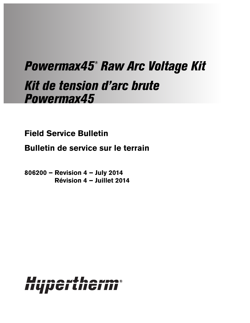# Powermax45® Raw Arc Voltage Kit Kit de tension d'arc brute Powermax45

**Field Service Bulletin**

**Bulletin de service sur le terrain**

**806200 – Revision 4 – July 2014 Révision 4 – Juillet 2014**

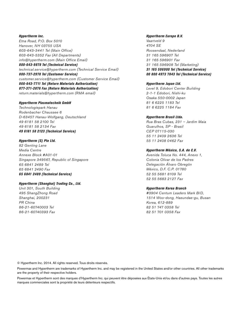Hypertherm Inc. Etna Road, P.O. Box 5010 Hanover, NH 03755 USA 603-643-3441 Tel (Main Office) 603-643-5352 Fax (All Departments) info@hypertherm.com (Main Office Email) 800-643-9878 Tel (Technical Service) technical.service@hypertherm.com (Technical Service Email)

800-737-2978 Tel (Customer Service) customer.service@hypertherm.com (Customer Service Email) 866-643-7711 Tel (Return Materials Authorization) 877-371-2876 Fax (Return Materials Authorization) return.materials@hypertherm.com (RMA email)

#### Hypertherm Plasmatechnik GmbH

Technologiepark Hanau Rodenbacher Chaussee 6 D-63457 Hanau-Wolfgang, Deutschland 49 6181 58 2100 Tel 49 6181 58 2134 Fax 49 6181 58 2123 (Technical Service)

#### Hypertherm (S) Pte Ltd.

82 Genting Lane Media Centre Annexe Block #A01-01 Singapore 349567, Republic of Singapore 65 6841 2489 Tel 65 6841 2490 Fax 65 6841 2489 (Technical Service)

#### Hypertherm (Shanghai) Trading Co., Ltd.

Unit 301, South Building 495 ShangZhong Road Shanghai, 200231 PR China 86-21-60740003 Tel 86-21-60740393 Fax

## Hypertherm Europe B.V.

Vaartveld 9 4704 SE Roosendaal, Nederland 31 165 596907 Tel 31 165 596901 Fax 31 165 596908 Tel (Marketing) 31 165 596900 Tel (Technical Service) 00 800 4973 7843 Tel (Technical Service)

#### Hypertherm Japan Ltd.

Level 9, Edobori Center Building 2-1-1 Edobori, Nishi-ku Osaka 550-0002 Japan 81 6 6225 1183 Tel 81 6 6225 1184 Fax

#### Hypertherm Brasil Ltda.

Rua Bras Cubas, 231 – Jardim Maia Guarulhos, SP - Brasil CEP 07115-030 55 11 2409 2636 Tel 55 11 2408 0462 Fax

### Hypertherm México, S.A. de C.V.

Avenida Toluca No. 444, Anexo 1, Colonia Olivar de los Padres Delegación Álvaro Obregón México, D.F. C.P. 01780 52 55 5681 8109 Tel 52 55 5683 2127 Fax

#### Hypertherm Korea Branch

#3904 Centum Leaders Mark B/D, 1514 Woo-dong, Haeundae-gu, Busan Korea, 612-889 82 51 747 0358 Tel 82 51 701 0358 Fax

© Hypertherm Inc. 2014. All rights reserved. Tous droits réservés.

Powermax and Hypertherm are trademarks of Hypertherm Inc. and may be registered in the United States and/or other countries. All other trademarks are the property of their respective holders.

Powermax et Hypertherm sont des marques d'Hypertherm Inc. qui peuvent être déposées aux États-Unis et/ou dans d'autres pays. Toutes les autres marques commerciales sont la propriété de leurs détenteurs respectifs.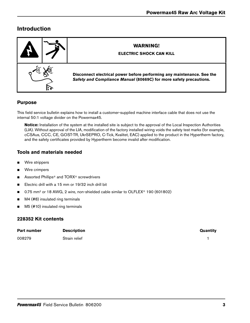# **Introduction**

|  |  | <b>WARNING!</b><br><b>ELECTRIC SHOCK CAN KILL</b>                                                                                            |
|--|--|----------------------------------------------------------------------------------------------------------------------------------------------|
|  |  | Disconnect electrical power before performing any maintenance. See the<br>Safety and Compliance Manual (80669C) for more safety precautions. |

## **Purpose**

This field service bulletin explains how to install a customer-supplied machine interface cable that does not use the internal 50:1 voltage divider on the Powermax45.

**Notice:** Installation of the system at the installed site is subject to the approval of the Local Inspection Authorities (LIA). Without approval of the LIA, modification of the factory installed wiring voids the safety test marks (for example, cCSAus, CCC, CE, GOST-TR, UkrSEPRO, C-Tick, Kvalitet, EAC) applied to the product in the Hypertherm factory, and the safety certificates provided by Hypertherm become invalid after modification.

## **Tools and materials needed**

- **Nire strippers**
- **Nire crimpers**
- Assorted Phillips<sup>®</sup> and TORX<sup>®</sup> screwdrivers
- Electric drill with a 15 mm or 19/32 inch drill bit
- 0.75 mm<sup>2</sup> or 18 AWG, 2 wire, non-shielded cable similar to OLFLEX<sup>®</sup> 190 (601802)
- M4 (#8) insulated ring terminals
- M5 (#10) insulated ring terminals

## **228352 Kit contents**

| Part number | <b>Description</b> | Quantity |
|-------------|--------------------|----------|
| 008279      | Strain relief      |          |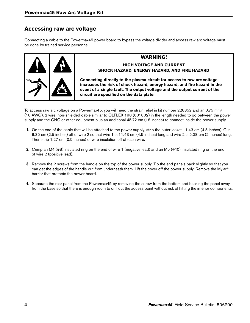## **Accessing raw arc voltage**

Connecting a cable to the Powermax45 power board to bypass the voltage divider and access raw arc voltage must be done by trained service personnel.

| <b>AP</b> | <b>WARNING!</b><br><b>HIGH VOLTAGE AND CURRENT</b><br><b>SHOCK HAZARD, ENERGY HAZARD, AND FIRE HAZARD</b>                                                                                                                                                                     |
|-----------|-------------------------------------------------------------------------------------------------------------------------------------------------------------------------------------------------------------------------------------------------------------------------------|
|           | Connecting directly to the plasma circuit for access to raw arc voltage<br>increases the risk of shock hazard, energy hazard, and fire hazard in the<br>event of a single fault. The output voltage and the output current of the<br>circuit are specified on the data plate. |

To access raw arc voltage on a Powermax45, you will need the strain relief in kit number 228352 and an 0.75 mm2 (18 AWG), 2 wire, non-shielded cable similar to OLFLEX 190 (601802) in the length needed to go between the power supply and the CNC or other equipment plus an additional 45.72 cm (18 inches) to connect inside the power supply.

- 1. On the end of the cable that will be attached to the power supply, strip the outer jacket 11.43 cm (4.5 inches). Cut 6.35 cm (2.5 inches) off of wire 2 so that wire 1 is 11.43 cm (4.5 inches) long and wire 2 is 5.08 cm (2 inches) long. Then strip 1.27 cm (0.5 inches) of wire insulation off of each wire.
- 2. Crimp an M4 (#8) insulated ring on the end of wire 1 (negative lead) and an M5 (#10) insulated ring on the end of wire 2 (positive lead).
- **3.** Remove the 2 screws from the handle on the top of the power supply. Tip the end panels back slightly so that you can get the edges of the handle out from underneath them. Lift the cover off the power supply. Remove the Mylar® barrier that protects the power board.
- 4. Separate the rear panel from the Powermax45 by removing the screw from the bottom and backing the panel away from the base so that there is enough room to drill out the access point without risk of hitting the interior components.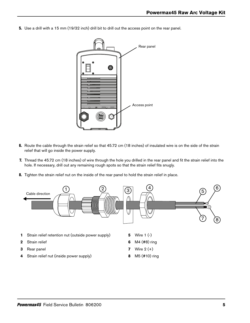5. Use a drill with a 15 mm (19/32 inch) drill bit to drill out the access point on the rear panel.



- 6. Route the cable through the strain relief so that 45.72 cm (18 inches) of insulated wire is on the side of the strain relief that will go inside the power supply.
- 7. Thread the 45.72 cm (18 inches) of wire through the hole you drilled in the rear panel and fit the strain relief into the hole. If necessary, drill out any remaining rough spots so that the strain relief fits snugly.
- 8. Tighten the strain relief nut on the inside of the rear panel to hold the strain relief in place.



- **1** Strain relief retention nut (outside power supply)
- **2** Strain relief
- **3** Rear panel
- **4** Strain relief nut (inside power supply)
- **5** Wire 1 (-)
- **6** M4 (#8) ring
- **7** Wire 2 (+)
- **8** M5 (#10) ring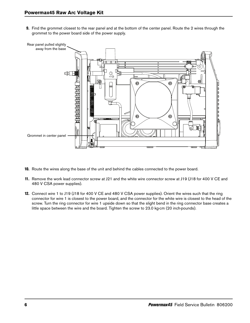9. Find the grommet closest to the rear panel and at the bottom of the center panel. Route the 2 wires through the grommet to the power board side of the power supply.



- 10. Route the wires along the base of the unit and behind the cables connected to the power board.
- 11. Remove the work lead connector screw at J21 and the white wire connector screw at J19 (J18 for 400 V CE and 480 V CSA power supplies).
- 12. Connect wire 1 to J19 (J18 for 400 V CE and 480 V CSA power supplies). Orient the wires such that the ring connector for wire 1 is closest to the power board, and the connector for the white wire is closest to the head of the screw. Turn the ring connector for wire 1 upside down so that the slight bend in the ring connector base creates a little space between the wire and the board. Tighten the screw to 23.0 kg∙cm (20 inch∙pounds).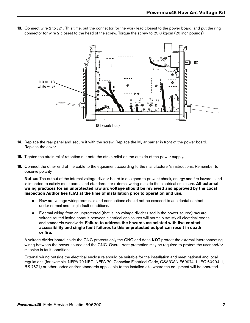- **FDD** - TILITIN TILITIN TILITIN A OA OA OA OA OA J19 or J18 (white wire) TP 19 TP 18 TP 17 W R B 192 VDC 192 VDC + - + - J21 (work lead)
- 13. Connect wire 2 to J21. This time, put the connector for the work lead closest to the power board, and put the ring connector for wire 2 closest to the head of the screw. Torque the screw to 23.0 kg∙cm (20 inch∙pounds).

- 14. Replace the rear panel and secure it with the screw. Replace the Mylar barrier in front of the power board. Replace the cover.
- 15. Tighten the strain relief retention nut onto the strain relief on the outside of the power supply.
- 16. Connect the other end of the cable to the equipment according to the manufacturer's instructions. Remember to observe polarity.

**Notice:** The output of the internal voltage divider board is designed to prevent shock, energy and fire hazards, and is intended to satisfy most codes and standards for external wiring outside the electrical enclosure. **All external wiring practices for an unprotected raw arc voltage should be reviewed and approved by the Local Inspection Authorities (LIA) at the time of installation prior to operation and use.**

- Raw arc voltage wiring terminals and connections should not be exposed to accidental contact under normal and single fault conditions.
- External wiring from an unprotected (that is, no voltage divider used in the power source) raw arc voltage routed inside conduit between electrical enclosures will normally satisfy all electrical codes and standards worldwide. **Failure to address the hazards associated with live contact, accessibility and single fault failures to this unprotected output can result in death or fire.**

A voltage divider board inside the CNC protects only the CNC and does **NOT** protect the external interconnecting wiring between the power source and the CNC. Overcurrent protection may be required to protect the user and/or machine in fault conditions.

External wiring outside the electrical enclosure should be suitable for the installation and meet national and local regulations (for example, NFPA 70 NEC, NFPA 79, Canadian Electrical Code, CSA/CAN E60974-1, IEC 60204-1, BS 7671) or other codes and/or standards applicable to the installed site where the equipment will be operated.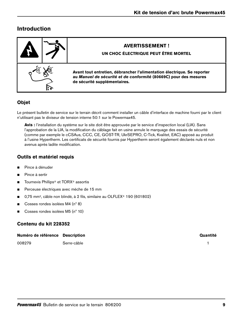# **Introduction**

| <b>AVERTISSEMENT!</b><br>UN CHOC ÉLECTRIQUE PEUT ÊTRE MORTEL                                                                                                                |
|-----------------------------------------------------------------------------------------------------------------------------------------------------------------------------|
| Avant tout entretien, débrancher l'alimentation électrique. Se reporter<br>au Manuel de sécurité et de conformité (80669C) pour des mesures<br>de sécurité supplémentaires. |

## **Objet**

Le présent bulletin de service sur le terrain décrit comment installer un câble d'interface de machine fourni par le client n'utilisant pas le diviseur de tension interne 50:1 sur le Powermax45.

**Avis :** l'installation du système sur le site doit être approuvée par le service d'inspection local (LIA). Sans l'approbation de la LIA, la modification du câblage fait en usine annule le marquage des essais de sécurité (comme par exemple le cCSAus, CCC, CE, GOST-TR, UkrSEPRO, C-Tick, Kvalitet, EAC) apposé au produit à l'usine Hypertherm. Les certificats de sécurité fournis par Hypertherm seront également déclarés nuls et non avenus après ladite modification.

## **Outils et matériel requis**

- **Pince à dénuder**
- **Pince à sertir**
- Tournevis Phillips<sup>®</sup> et TORX<sup>®</sup> assortis
- **Perceuse électriques avec mèche de 15 mm**
- 0,75 mm<sup>2</sup>, câble non blindé, à 2 fils, similaire au OLFLEX® 190 (601802)
- Cosses rondes isolées M4 (n° 8)
- Cosses rondes isolées M5  $(n^{\circ} 10)$

## **Contenu du kit 228352**

| Numéro de référence Description |             | Quantité |
|---------------------------------|-------------|----------|
| 008279                          | Serre-câble |          |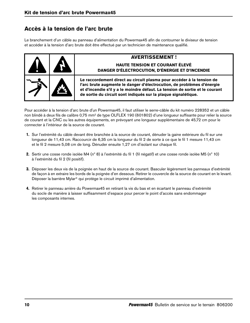# **Accès à la tension de l'arc brute**

Le branchement d'un câble au panneau d'alimentation du Powermax45 afin de contourner le diviseur de tension et accéder à la tension d'arc brute doit être effectué par un technicien de maintenance qualifié.

|  | <b>AVERTISSEMENT!</b><br><b>HAUTE TENSION ET COURANT ÉLEVÉ</b><br>DANGER D'ÉLECTROCUTION, D'ÉNERGIE ET D'INCENDIE                                                                                                                                                                                 |
|--|---------------------------------------------------------------------------------------------------------------------------------------------------------------------------------------------------------------------------------------------------------------------------------------------------|
|  | Le raccordement direct au circuit plasma pour accéder à la tension de<br>l'arc brute augmente le danger d'électrocution, de problèmes d'énergie<br>et d'incendie s'il y a le moindre défaut. La tension de sortie et le courant<br>de sortie du circuit sont indiqués sur la plaque signalétique. |

Pour accéder à la tension d'arc brute d'un Powermax45, il faut utiliser le serre-câble du kit numéro 228352 et un câble non blindé à deux fils de calibre 0,75 mm2 de type OLFLEX 190 (601802) d'une longueur suffisante pour relier la source de courant et la CNC ou les autres équipements, en prévoyant une longueur supplémentaire de 45,72 cm pour le connecter à l'intérieur de la source de courant.

- 1. Sur l'extrémité du câble devant être branchée à la source de courant, dénuder la gaine extérieure du fil sur une longueur de 11,43 cm. Raccourcir de 6,35 cm la longueur du fil 2 de sorte à ce que le fil 1 mesure 11,43 cm et le fil 2 mesure 5,08 cm de long. Dénuder ensuite 1,27 cm d'isolant sur chaque fil.
- 2. Sertir une cosse ronde isolée M4 (nº 8) à l'extrémité du fil 1 (fil négatif) et une cosse ronde isolée M5 (nº 10) à l'extrémité du fil 2 (fil positif).
- 3. Déposer les deux vis de la poignée en haut de la source de courant. Basculer légèrement les panneaux d'extrémité de façon à en extraire les bords de la poignée d'en dessous. Retirer le couvercle de la source de courant en le levant. Déposer la barrière Mylar® qui protège le circuit imprimé d'alimentation.
- 4. Retirer le panneau arrière du Powermax45 en retirant la vis du bas et en écartant le panneau d'extrémité du socle de manière à laisser suffisamment d'espace pour percer le point d'accès sans endommager les composants internes.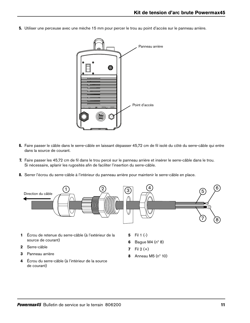5. Utiliser une perceuse avec une mèche 15 mm pour percer le trou au point d'accès sur le panneau arrière.



- 6. Faire passer le câble dans le serre-câble en laissant dépasser 45,72 cm de fil isolé du côté du serre-câble qui entre dans la source de courant.
- 7. Faire passer les 45,72 cm de fil dans le trou percé sur le panneau arrière et insérer le serre-câble dans le trou. Si nécessaire, aplanir les rugosités afin de faciliter l'insertion du serre-câble.
- 8. Serrer l'écrou du serre-câble à l'intérieur du panneau arrière pour maintenir le serre-câble en place.



- **1** Écrou de retenue du serre-câble (à l'extérieur de la source de courant)
- **2** Serre-câble
- **3** Panneau arrière
- **4** Écrou du serre-câble (à l'intérieur de la source de courant)
- **5** Fil 1 (-)
- **6** Bague M4 (nº 8)
- **7** Fil 2 (+)
- **8** Anneau M5 (nº 10)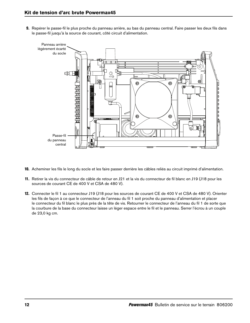9. Repérer le passe-fil le plus proche du panneau arrière, au bas du panneau central. Faire passer les deux fils dans le passe-fil jusqu'à la source de courant, côté circuit d'alimentation.



- 10. Acheminer les fils le long du socle et les faire passer derrière les câbles reliés au circuit imprimé d'alimentation.
- 11. Retirer la vis du connecteur de câble de retour en J21 et la vis du connecteur de fil blanc en J19 (J18 pour les sources de courant CE de 400 V et CSA de 480 V).
- 12. Connecter le fil 1 au connecteur J19 (J18 pour les sources de courant CE de 400 V et CSA de 480 V). Orienter les fils de façon à ce que le connecteur de l'anneau du fil 1 soit proche du panneau d'alimentation et placer le connecteur du fil blanc le plus près de la tête de vis. Retourner le connecteur de l'anneau du fil 1 de sorte que la courbure de la base du connecteur laisse un léger espace entre le fil et le panneau. Serrer l'écrou à un couple de 23,0 kg cm.